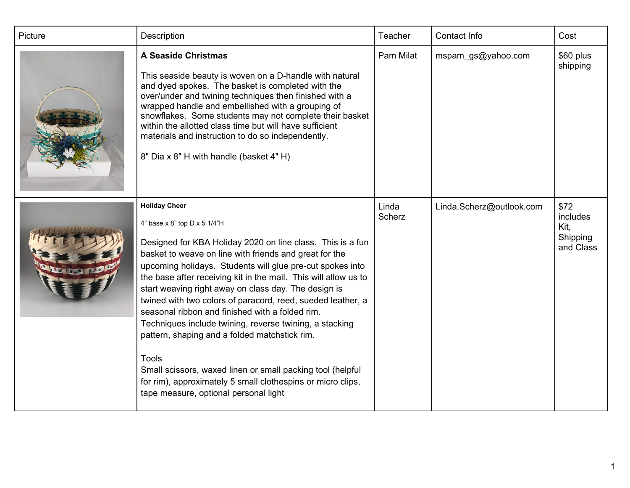| Picture | Description                                                                                                                                                                                                                                                                                                                                                                                                                                                                                                                                                                                                                                                                                                                                                                              | Teacher                | Contact Info             | Cost                                              |
|---------|------------------------------------------------------------------------------------------------------------------------------------------------------------------------------------------------------------------------------------------------------------------------------------------------------------------------------------------------------------------------------------------------------------------------------------------------------------------------------------------------------------------------------------------------------------------------------------------------------------------------------------------------------------------------------------------------------------------------------------------------------------------------------------------|------------------------|--------------------------|---------------------------------------------------|
|         | <b>A Seaside Christmas</b><br>This seaside beauty is woven on a D-handle with natural<br>and dyed spokes. The basket is completed with the<br>over/under and twining techniques then finished with a<br>wrapped handle and embellished with a grouping of<br>snowflakes. Some students may not complete their basket<br>within the allotted class time but will have sufficient<br>materials and instruction to do so independently.<br>8" Dia x 8" H with handle (basket 4" H)                                                                                                                                                                                                                                                                                                          | Pam Milat              | mspam_gs@yahoo.com       | \$60 plus<br>shipping                             |
|         | <b>Holiday Cheer</b><br>4" base x 8" top D x 5 1/4"H<br>Designed for KBA Holiday 2020 on line class. This is a fun<br>basket to weave on line with friends and great for the<br>upcoming holidays. Students will glue pre-cut spokes into<br>the base after receiving kit in the mail. This will allow us to<br>start weaving right away on class day. The design is<br>twined with two colors of paracord, reed, sueded leather, a<br>seasonal ribbon and finished with a folded rim.<br>Techniques include twining, reverse twining, a stacking<br>pattern, shaping and a folded matchstick rim.<br><b>Tools</b><br>Small scissors, waxed linen or small packing tool (helpful<br>for rim), approximately 5 small clothespins or micro clips,<br>tape measure, optional personal light | Linda<br><b>Scherz</b> | Linda.Scherz@outlook.com | \$72<br>includes<br>Kit,<br>Shipping<br>and Class |